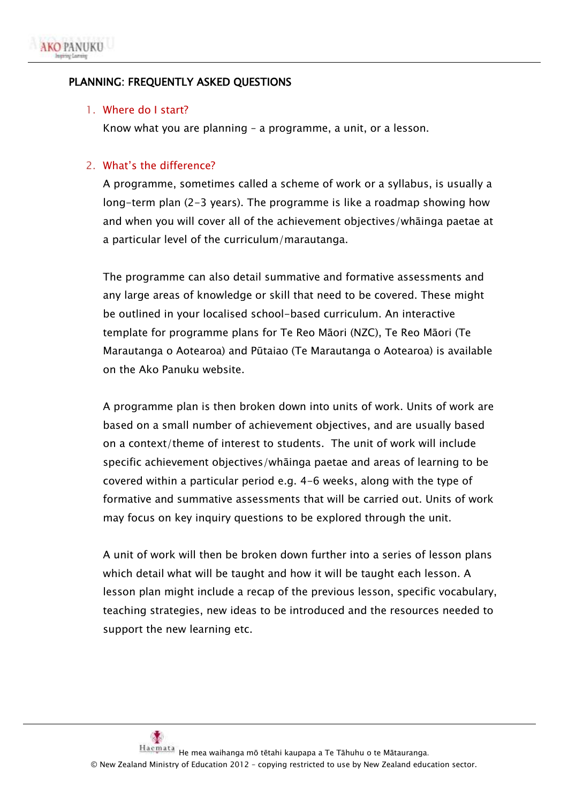

### PLANNING: FREQUENTLY ASKED QUESTIONS

#### 1. Where do I start?

Know what you are planning – a programme, a unit, or a lesson.

#### 2. What's the difference?

A programme, sometimes called a scheme of work or a syllabus, is usually a long-term plan (2-3 years). The programme is like a roadmap showing how and when you will cover all of the achievement objectives/whāinga paetae at a particular level of the curriculum/marautanga.

The programme can also detail summative and formative assessments and any large areas of knowledge or skill that need to be covered. These might be outlined in your localised school-based curriculum. An interactive template for programme plans for Te Reo Māori (NZC), Te Reo Māori (Te Marautanga o Aotearoa) and Pūtaiao (Te Marautanga o Aotearoa) is available on the Ako Panuku website.

A programme plan is then broken down into units of work. Units of work are based on a small number of achievement objectives, and are usually based on a context/theme of interest to students. The unit of work will include specific achievement objectives/whāinga paetae and areas of learning to be covered within a particular period e.g. 4-6 weeks, along with the type of formative and summative assessments that will be carried out. Units of work may focus on key inquiry questions to be explored through the unit.

A unit of work will then be broken down further into a series of lesson plans which detail what will be taught and how it will be taught each lesson. A lesson plan might include a recap of the previous lesson, specific vocabulary, teaching strategies, new ideas to be introduced and the resources needed to support the new learning etc.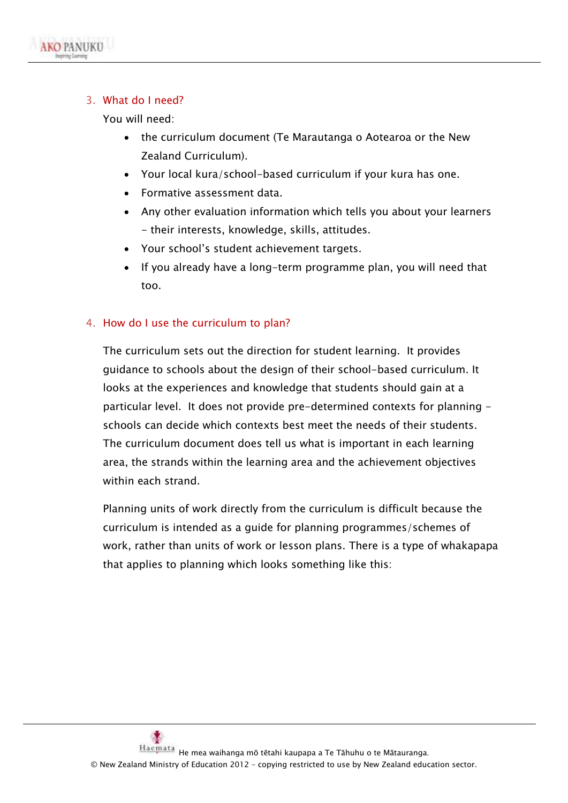

## 3. What do I need?

You will need:

- the curriculum document (Te Marautanga o Aotearoa or the New Zealand Curriculum).
- Your local kura/school-based curriculum if your kura has one.
- Formative assessment data.
- Any other evaluation information which tells you about your learners - their interests, knowledge, skills, attitudes.
- Your school's student achievement targets.
- If you already have a long-term programme plan, you will need that too.

## 4. How do I use the curriculum to plan?

The curriculum sets out the direction for student learning. It provides guidance to schools about the design of their school-based curriculum. It looks at the experiences and knowledge that students should gain at a particular level. It does not provide pre-determined contexts for planning schools can decide which contexts best meet the needs of their students. The curriculum document does tell us what is important in each learning area, the strands within the learning area and the achievement objectives within each strand.

Planning units of work directly from the curriculum is difficult because the curriculum is intended as a guide for planning programmes/schemes of work, rather than units of work or lesson plans. There is a type of whakapapa that applies to planning which looks something like this: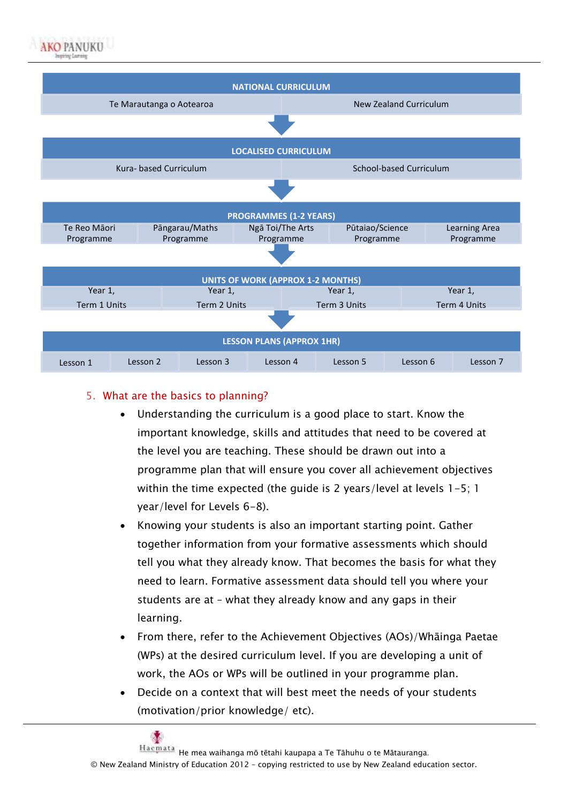



# 5. What are the basics to planning?

- Understanding the curriculum is a good place to start. Know the important knowledge, skills and attitudes that need to be covered at the level you are teaching. These should be drawn out into a programme plan that will ensure you cover all achievement objectives within the time expected (the guide is 2 years/level at levels 1-5; 1 year/level for Levels 6-8).
- Knowing your students is also an important starting point. Gather together information from your formative assessments which should tell you what they already know. That becomes the basis for what they need to learn. Formative assessment data should tell you where your students are at – what they already know and any gaps in their learning.
- From there, refer to the Achievement Objectives (AOs)/Whāinga Paetae (WPs) at the desired curriculum level. If you are developing a unit of work, the AOs or WPs will be outlined in your programme plan.
- Decide on a context that will best meet the needs of your students (motivation/prior knowledge/ etc).

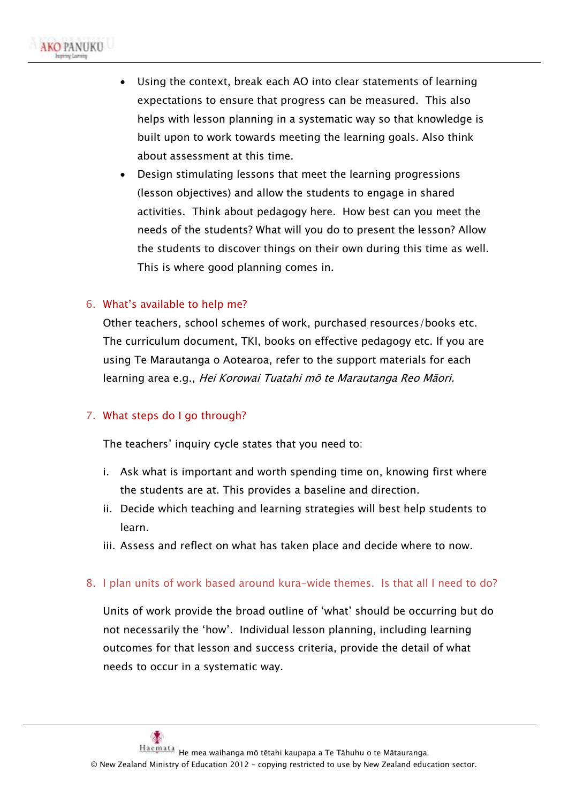- Using the context, break each AO into clear statements of learning expectations to ensure that progress can be measured. This also helps with lesson planning in a systematic way so that knowledge is built upon to work towards meeting the learning goals. Also think about assessment at this time.
- Design stimulating lessons that meet the learning progressions (lesson objectives) and allow the students to engage in shared activities. Think about pedagogy here. How best can you meet the needs of the students? What will you do to present the lesson? Allow the students to discover things on their own during this time as well. This is where good planning comes in.

### 6. What's available to help me?

Other teachers, school schemes of work, purchased resources/books etc. The curriculum document, TKI, books on effective pedagogy etc. If you are using Te Marautanga o Aotearoa, refer to the support materials for each learning area e.g., Hei Korowai Tuatahi mō te Marautanga Reo Māori.

#### 7. What steps do I go through?

The teachers' inquiry cycle states that you need to:

- i. Ask what is important and worth spending time on, knowing first where the students are at. This provides a baseline and direction.
- ii. Decide which teaching and learning strategies will best help students to learn.
- iii. Assess and reflect on what has taken place and decide where to now.
- 8. I plan units of work based around kura-wide themes. Is that all I need to do?

Units of work provide the broad outline of 'what' should be occurring but do not necessarily the 'how'. Individual lesson planning, including learning outcomes for that lesson and success criteria, provide the detail of what needs to occur in a systematic way.